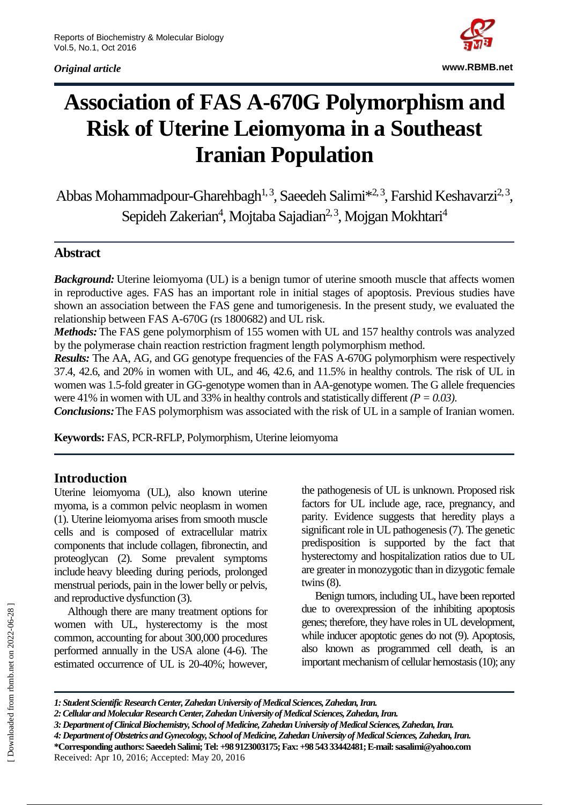*Original article*



# **Association of FAS A-670G Polymorphism and Risk of Uterine Leiomyoma in a Southeast Iranian Population**

Abbas Mohammadpour-Gharehbagh<sup>1, 3</sup>, Saeedeh Salimi<sup>\*2, 3</sup>, Farshid Keshavarzi<sup>2, 3</sup>, Sepideh Zakerian<sup>4</sup>, Mojtaba Sajadian<sup>2, 3</sup>, Mojgan Mokhtari<sup>4</sup>

### **Abstract**

*Background:* Uterine leiomyoma (UL) is a benign tumor of uterine smooth muscle that affects women in reproductive ages. FAS has an important role in initial stages of apoptosis. Previous studies have shown an association between the FAS gene and tumorigenesis. In the present study, we evaluated the relationship between FAS A-670G (rs 1800682) and UL risk.

*Methods:* The FAS gene polymorphism of 155 women with UL and 157 healthy controls was analyzed by the polymerase chain reaction restriction fragment length polymorphism method.

*Results:* The AA, AG, and GG genotype frequencies of the FAS A-670G polymorphism were respectively 37.4, 42.6, and 20% in women with UL, and 46, 42.6, and 11.5% in healthy controls. The risk of UL in women was 1.5-fold greater in GG-genotype women than in AA-genotype women. The G allele frequencies were 41% in women with UL and 33% in healthy controls and statistically different *(P = 0.03)*.

*Conclusions:*The FAS polymorphism was associated with the risk of UL in a sample of Iranian women.

**Keywords:** FAS, PCR-RFLP, Polymorphism, Uterine leiomyoma

#### **Introduction**

Uterine leiomyoma (UL), also known uterine myoma, is a common pelvic neoplasm in women (1). Uterine leiomyoma arises from smooth muscle cells and is composed of extracellular matrix components that include collagen, fibronectin, and proteoglycan (2). Some prevalent symptoms include heavy bleeding during periods, prolonged menstrual periods, pain in the lower belly or pelvis, and reproductive dysfunction (3).

Although there are many treatment options for women with UL, hysterectomy is the most common, accounting for about 300,000 procedures performed annually in the USA alone (4-6). The estimated occurrence of UL is 20-40%; however,

the pathogenesis of UL is unknown. Proposed risk factors for UL include age, race, pregnancy, and parity. Evidence suggests that heredity plays a significant role in UL pathogenesis (7). The genetic predisposition is supported by the fact that hysterectomy and hospitalization ratios due to UL are greater in monozygotic than in dizygotic female twins (8).

Benign tumors, including UL, have been reported due to overexpression of the inhibiting apoptosis genes; therefore, they have roles in UL development, while inducer apoptotic genes do not (9). Apoptosis, also known as programmed cell death, is an important mechanism of cellular hemostasis (10); any

*<sup>1:</sup> Student Scientific Research Center, Zahedan University of Medical Sciences, Zahedan, Iran.*

*<sup>2:</sup> Cellular and Molecular Research Center, Zahedan University of Medical Sciences, Zahedan, Iran.*

*<sup>3:</sup> Department of Clinical Biochemistry, School of Medicine, Zahedan University of Medical Sciences, Zahedan, Iran.* 

*<sup>4:</sup> Department of Obstetrics and Gynecology, School of Medicine, Zahedan University of Medical Sciences, Zahedan, Iran.* **\*Corresponding authors: Saeedeh Salimi; Tel: +98 9123003175; Fax: +98 543 33442481;E-mail: sasalimi@yahoo.com** Received: Apr 10, 2016; Accepted: May 20, 2016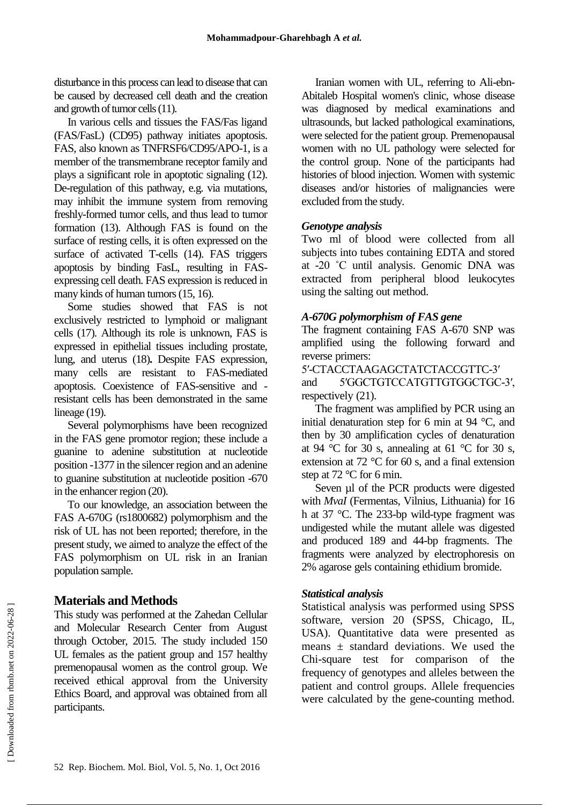disturbance in this process can lead to disease that can be caused by decreased cell death and the creation and growth of tumor cells (11).

In various cells and tissues the FAS/Fas ligand (FAS/FasL) (CD95) pathway initiates apoptosis. FAS, also known as TNFRSF6/CD95/APO-1, is a member of the transmembrane receptor family and plays a significant role in apoptotic signaling (12). De-regulation of this pathway, e.g. via mutations, may inhibit the immune system from removing freshly-formed tumor cells, and thus lead to tumor formation (13). Although FAS is found on the surface of resting cells, it is often expressed on the surface of activated T-cells (14). FAS triggers apoptosis by binding FasL, resulting in FASexpressing cell death. FAS expression is reduced in many kinds of human tumors (15, 16).

Some studies showed that FAS is not exclusively restricted to lymphoid or malignant cells (17). Although its role is unknown, FAS is expressed in epithelial tissues including prostate, lung, and uterus (18)**.** Despite FAS expression, many cells are resistant to FAS-mediated apoptosis. Coexistence of FAS-sensitive and resistant cells has been demonstrated in the same lineage (19).

Several polymorphisms have been recognized in the FAS gene promotor region; these include a guanine to adenine substitution at nucleotide position -1377 in the silencer region and an adenine to guanine substitution at nucleotide position -670 in the enhancer region (20).

To our knowledge, an association between the FAS A-670G (rs1800682) polymorphism and the risk of UL has not been reported; therefore, in the present study, we aimed to analyze the effect of the FAS polymorphism on UL risk in an Iranian population sample.

## **Materials and Methods**

This study was performed at the Zahedan Cellular and Molecular Research Center from August through October, 2015. The study included 150 UL females as the patient group and 157 healthy premenopausal women as the control group. We received ethical approval from the University Ethics Board, and approval was obtained from all participants.

Iranian women with UL, referring to Ali-ebn-Abitaleb Hospital women's clinic, whose disease was diagnosed by medical examinations and ultrasounds, but lacked pathological examinations, were selected for the patient group. Premenopausal women with no UL pathology were selected for the control group. None of the participants had histories of blood injection. Women with systemic diseases and/or histories of malignancies were excluded from the study.

#### *Genotype analysis*

Two ml of blood were collected from all subjects into tubes containing EDTA and stored at -20 ˚C until analysis. Genomic DNA was extracted from peripheral blood leukocytes using the salting out method.

#### *A-670G polymorphism of FAS gene*

The fragment containing FAS A-670 SNP was amplified using the following forward and reverse primers:

5′-CTACCTAAGAGCTATCTACCGTTC-3′ and 5′GGCTGTCCATGTTGTGGCTGC-3′, respectively (21).

The fragment was amplified by PCR using an initial denaturation step for 6 min at 94 °C, and then by 30 amplification cycles of denaturation at 94 °C for 30 s, annealing at 61 °C for 30 s, extension at 72 °C for 60 s, and a final extension step at 72 °C for 6 min.

Seven µl of the PCR products were digested with *MvaI* (Fermentas, Vilnius, Lithuania) for 16 h at 37 °C. The 233-bp wild-type fragment was undigested while the mutant allele was digested and produced 189 and 44-bp fragments. The fragments were analyzed by electrophoresis on 2% agarose gels containing ethidium bromide.

#### *Statistical analysis*

Statistical analysis was performed using SPSS software, version 20 (SPSS, Chicago, IL, USA). Quantitative data were presented as means  $\pm$  standard deviations. We used the Chi-square test for comparison of the frequency of genotypes and alleles between the patient and control groups. Allele frequencies were calculated by the gene-counting method.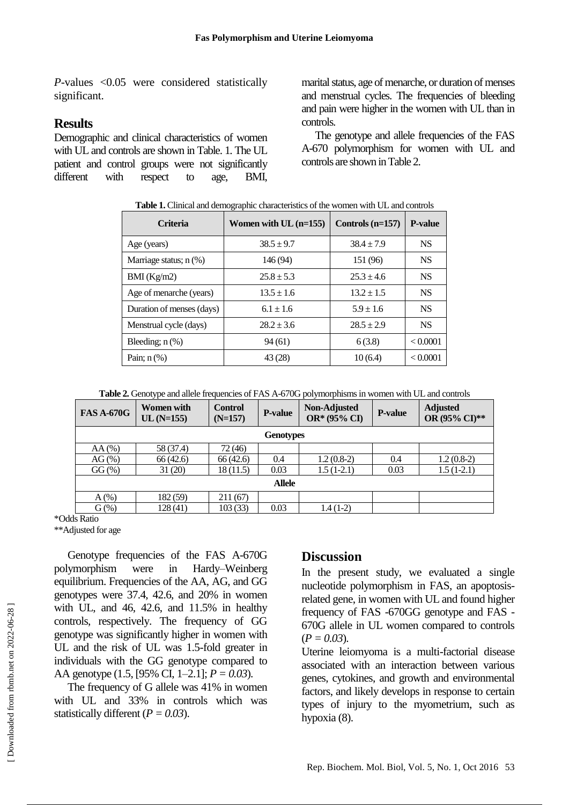*P*-values <0.05 were considered statistically significant.

#### **Results**

Demographic and clinical characteristics of women with UL and controls are shown in Table. 1. The UL patient and control groups were not significantly different with respect to age, BMI,

marital status, age of menarche, or duration of menses and menstrual cycles. The frequencies of bleeding and pain were higher in the women with UL than in controls.

The genotype and allele frequencies of the FAS A-670 polymorphism for women with UL and controls are shown in Table 2.

|  | Table 1. Clinical and demographic characteristics of the women with UL and controls |  |  |  |  |
|--|-------------------------------------------------------------------------------------|--|--|--|--|
|--|-------------------------------------------------------------------------------------|--|--|--|--|

| <b>Criteria</b>           | Women with $UL(n=155)$ | Controls $(n=157)$ | <b>P-value</b> |
|---------------------------|------------------------|--------------------|----------------|
| Age (years)               | $38.5 + 9.7$           | $38.4 \pm 7.9$     | <b>NS</b>      |
| Marriage status; $n$ (%)  | 146 (94)               | 151 (96)           | <b>NS</b>      |
| BMI(Kg/m2)                | $25.8 + 5.3$           | $25.3 \pm 4.6$     | <b>NS</b>      |
| Age of menarche (years)   | $13.5 \pm 1.6$         | $13.2 \pm 1.5$     | <b>NS</b>      |
| Duration of menses (days) | $6.1 \pm 1.6$          | $5.9 \pm 1.6$      | <b>NS</b>      |
| Menstrual cycle (days)    | $28.2 \pm 3.6$         | $28.5 + 2.9$       | <b>NS</b>      |
| Bleeding; $n$ $(\%)$      | 94 (61)                | 6(3.8)             | < 0.0001       |
| Pain; $n$ $(\%)$          | 43 (28)                | 10(6.4)            | < 0.0001       |

**Table 2.** Genotype and allele frequencies of FAS A-670G polymorphisms in women with UL and controls

| <b>FAS A-670G</b>   | Women with<br>$UL(N=155)$ | <b>Control</b><br>$(N=157)$ | <b>P-value</b> | Non-Adjusted<br>OR* (95% CI) | <b>P-value</b> | <b>Adjusted</b><br>OR (95% CI)** |  |  |  |
|---------------------|---------------------------|-----------------------------|----------------|------------------------------|----------------|----------------------------------|--|--|--|
| <b>Genotypes</b>    |                           |                             |                |                              |                |                                  |  |  |  |
| $AA(\%)$            | 58 (37.4)                 | 72(46)                      |                |                              |                |                                  |  |  |  |
| $AG(\% )$           | 66(42.6)                  | 66(42.6)                    | 0.4            | $1.2(0.8-2)$                 | 0.4            | $1.2(0.8-2)$                     |  |  |  |
| $GG\left(\%\right)$ | 31(20)                    | 18(11.5)                    | 0.03           | $1.5(1-2.1)$                 | 0.03           | $1.5(1-2.1)$                     |  |  |  |
| <b>Allele</b>       |                           |                             |                |                              |                |                                  |  |  |  |
| $A(\%)$             | 182 (59)                  | 211(67)                     |                |                              |                |                                  |  |  |  |
| $G(\%)$             | 128(41)                   | 103(33)                     | 0.03           | $1.4(1-2)$                   |                |                                  |  |  |  |

\*Odds Ratio

\*\*Adjusted for age

Genotype frequencies of the FAS A-670G polymorphism were in Hardy–Weinberg equilibrium. Frequencies of the AA, AG, and GG genotypes were 37.4, 42.6, and 20% in women with UL, and 46, 42.6, and 11.5% in healthy controls, respectively. The frequency of GG genotype was significantly higher in women with UL and the risk of UL was 1.5-fold greater in individuals with the GG genotype compared to AA genotype (1.5, [95% CI, 1–2.1]; *P = 0.03*).

The frequency of G allele was 41% in women with UL and 33% in controls which was statistically different (*P = 0.03*).

#### **Discussion**

In the present study, we evaluated a single nucleotide polymorphism in FAS, an apoptosisrelated gene, in women with UL and found higher frequency of FAS -670GG genotype and FAS - 670G allele in UL women compared to controls (*P = 0.03*).

Uterine leiomyoma is a multi-factorial disease associated with an interaction between various genes, cytokines, and growth and environmental factors, and likely develops in response to certain types of injury to the myometrium, such as hypoxia (8).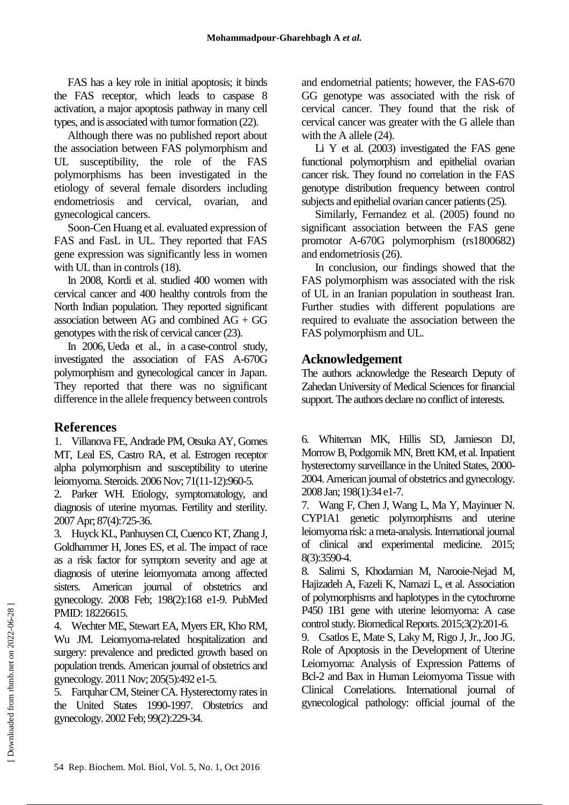FAS has a key role in initial apoptosis; it binds the FAS receptor, which leads to caspase 8 activation, a major apoptosis pathway in many cell types, and is associated with tumor formation (22).

Although there was no published report about the association between FAS polymorphism and UL susceptibility, the role of the FAS polymorphisms has been investigated in the etiology of several female disorders including endometriosis and cervical, ovarian, and gynecological cancers.

Soon-Cen Huang et al. evaluated expression of FAS and FasL in UL. They reported that FAS gene expression was significantly less in women with UL than in controls (18).

In 2008, Kordi et al. studied 400 women with cervical cancer and 400 healthy controls from the North Indian population. They reported significant association between AG and combined AG + GG genotypes with the risk of cervical cancer (23).

In 2006, Ueda et al., in a case-control study, investigated the association of FAS A-670G polymorphism and gynecological cancer in Japan. They reported that there was no significant difference in the allele frequency between controls

# **References**

1. Villanova FE, Andrade PM, Otsuka AY, Gomes MT, Leal ES, Castro RA, et al. Estrogen receptor alpha polymorphism and susceptibility to uterine leiomyoma. Steroids. 2006 Nov; 71(11-12):960-5.

2. Parker WH. Etiology, symptomatology, and diagnosis of uterine myomas. Fertility and sterility. 2007 Apr; 87(4):725-36.

3. Huyck KL, Panhuysen CI, Cuenco KT, Zhang J, Goldhammer H, Jones ES, et al. The impact of race as a risk factor for symptom severity and age at diagnosis of uterine leiomyomata among affected sisters. American journal of obstetrics and gynecology. 2008 Feb; 198(2):168 e1-9. PubMed PMID: 18226615.

4. Wechter ME, Stewart EA, Myers ER, Kho RM, Wu JM. Leiomyoma-related hospitalization and surgery: prevalence and predicted growth based on population trends. American journal of obstetrics and gynecology. 2011 Nov; 205(5):492 e1-5.

5. Farquhar CM, Steiner CA. Hysterectomy rates in the United States 1990-1997. Obstetrics and gynecology. 2002 Feb; 99(2):229-34.

and endometrial patients; however, the FAS-670 GG genotype was associated with the risk of cervical cancer. They found that the risk of cervical cancer was greater with the G allele than with the A allele  $(24)$ .

Li Y et al. (2003) investigated the FAS gene functional polymorphism and epithelial ovarian cancer risk. They found no correlation in the FAS genotype distribution frequency between control subjects and epithelial ovarian cancer patients (25).

Similarly, Fernandez et al. (2005) found no significant association between the FAS gene promotor A-670G polymorphism (rs1800682) and endometriosis (26).

In conclusion, our findings showed that the FAS polymorphism was associated with the risk of UL in an Iranian population in southeast Iran. Further studies with different populations are required to evaluate the association between the FAS polymorphism and UL.

## **Acknowledgement**

The authors acknowledge the Research Deputy of Zahedan University of Medical Sciences for financial support. The authors declare no conflict of interests.

6. Whiteman MK, Hillis SD, Jamieson DJ, Morrow B, Podgornik MN, Brett KM, et al. Inpatient hysterectomy surveillance in the United States, 2000- 2004. American journal of obstetrics and gynecology. 2008 Jan; 198(1):34 e1-7.

7. Wang F, Chen J, Wang L, Ma Y, Mayinuer N. CYP1A1 genetic polymorphisms and uterine leiomyoma risk: a meta-analysis. International journal of clinical and experimental medicine. 2015; 8(3):3590-4.

8. Salimi S, Khodamian M, Narooie-Nejad M, Hajizadeh A, Fazeli K, Namazi L, et al. Association of polymorphisms and haplotypes in the cytochrome P450 1B1 gene with uterine leiomyoma: A case control study. Biomedical Reports. 2015;3(2):201-6.

9. Csatlos E, Mate S, Laky M, Rigo J, Jr., Joo JG. Role of Apoptosis in the Development of Uterine Leiomyoma: Analysis of Expression Patterns of Bcl-2 and Bax in Human Leiomyoma Tissue with Clinical Correlations. International journal of gynecological pathology: official journal of the